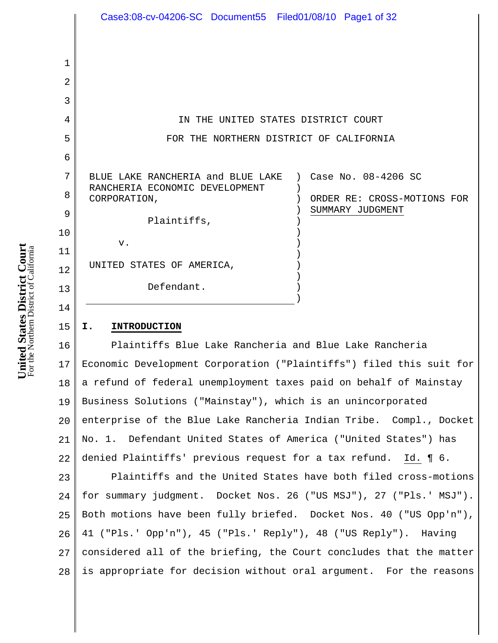|    | Case3:08-cv-04206-SC Document55 Filed01/08/10 Page1 of 32       |
|----|-----------------------------------------------------------------|
|    |                                                                 |
|    |                                                                 |
| 1  |                                                                 |
| 2  |                                                                 |
| 3  |                                                                 |
| 4  | IN THE UNITED STATES DISTRICT COURT                             |
| 5  | FOR THE NORTHERN DISTRICT OF CALIFORNIA                         |
| 6  |                                                                 |
| 7  | BLUE LAKE RANCHERIA and BLUE LAKE ) Case No. 08-4206 SC         |
| 8  | RANCHERIA ECONOMIC DEVELOPMENT                                  |
|    | CORPORATION,<br>ORDER RE: CROSS-MOTIONS FOR<br>SUMMARY JUDGMENT |
| 9  | Plaintiffs,                                                     |
| 10 |                                                                 |
| 11 | v.                                                              |
|    | UNITED STATES OF AMERICA,                                       |
| 12 |                                                                 |
| 13 | Defendant.                                                      |
|    |                                                                 |
| 14 |                                                                 |

#### 15 **I. INTRODUCTION**

16 17 18 19 20 21 22 Plaintiffs Blue Lake Rancheria and Blue Lake Rancheria Economic Development Corporation ("Plaintiffs") filed this suit for a refund of federal unemployment taxes paid on behalf of Mainstay Business Solutions ("Mainstay"), which is an unincorporated enterprise of the Blue Lake Rancheria Indian Tribe. Compl., Docket No. 1. Defendant United States of America ("United States") has denied Plaintiffs' previous request for a tax refund. Id. ¶ 6.

23 24 25 26 27 28 Plaintiffs and the United States have both filed cross-motions for summary judgment. Docket Nos. 26 ("US MSJ"), 27 ("Pls.' MSJ"). Both motions have been fully briefed. Docket Nos. 40 ("US Opp'n"), 41 ("Pls.' Opp'n"), 45 ("Pls.' Reply"), 48 ("US Reply"). Having considered all of the briefing, the Court concludes that the matter is appropriate for decision without oral argument. For the reasons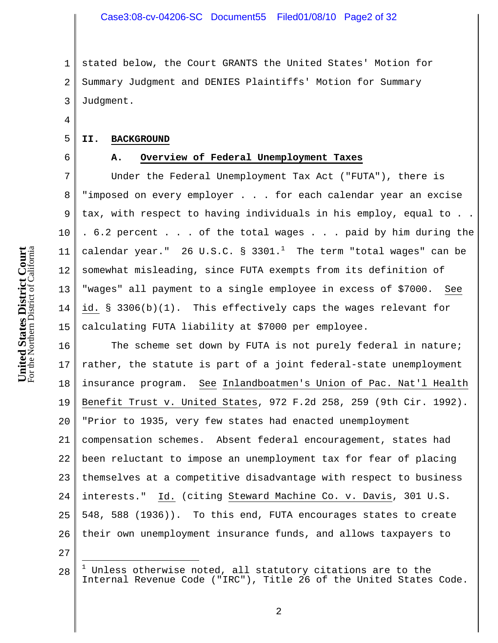1 2 3 stated below, the Court GRANTS the United States' Motion for Summary Judgment and DENIES Plaintiffs' Motion for Summary Judgment.

#### **II. BACKGROUND**

4

5

6

# **A. Overview of Federal Unemployment Taxes**

7 8 9 10 11 12 13 14 15 Under the Federal Unemployment Tax Act ("FUTA"), there is "imposed on every employer . . . for each calendar year an excise tax, with respect to having individuals in his employ, equal to . . . 6.2 percent . . . of the total wages . . . paid by him during the calendar year."  $26$  U.S.C. §  $3301.^1$  The term "total wages" can be somewhat misleading, since FUTA exempts from its definition of "wages" all payment to a single employee in excess of \$7000. See id. § 3306(b)(1). This effectively caps the wages relevant for calculating FUTA liability at \$7000 per employee.

16 17 18 19 20 21 22 23 24 25 26 The scheme set down by FUTA is not purely federal in nature; rather, the statute is part of a joint federal-state unemployment insurance program. See Inlandboatmen's Union of Pac. Nat'l Health Benefit Trust v. United States, 972 F.2d 258, 259 (9th Cir. 1992). "Prior to 1935, very few states had enacted unemployment compensation schemes. Absent federal encouragement, states had been reluctant to impose an unemployment tax for fear of placing themselves at a competitive disadvantage with respect to business interests." Id. (citing Steward Machine Co. v. Davis, 301 U.S. 548, 588 (1936)). To this end, FUTA encourages states to create their own unemployment insurance funds, and allows taxpayers to

27

i<br>S

<sup>28</sup>  $1$  Unless otherwise noted, all statutory citations are to the Internal Revenue Code ("IRC"), Title 26 of the United States Code.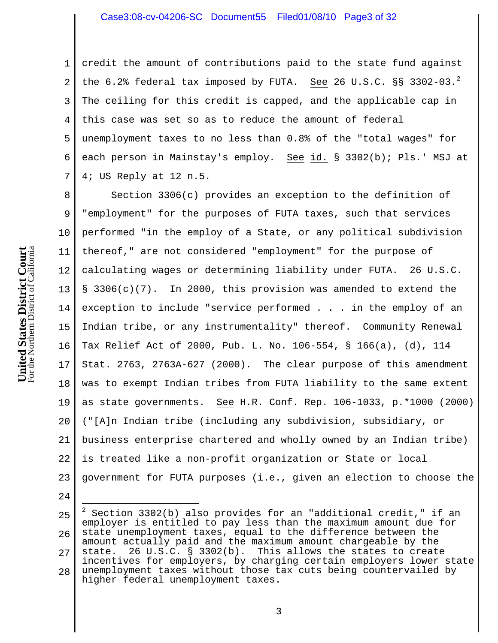## Case3:08-cv-04206-SC Document55 Filed01/08/10 Page3 of 32

1 2 3 4 5 6 7 credit the amount of contributions paid to the state fund against the  $6.2$ % federal tax imposed by FUTA. See 26 U.S.C. §§ 3302-03.<sup>2</sup> The ceiling for this credit is capped, and the applicable cap in this case was set so as to reduce the amount of federal unemployment taxes to no less than 0.8% of the "total wages" for each person in Mainstay's employ. See id. § 3302(b); Pls.' MSJ at 4; US Reply at 12 n.5.

8 9 10 11 12 13 14 15 16 17 18 19 20 21 22 23 Section 3306(c) provides an exception to the definition of "employment" for the purposes of FUTA taxes, such that services performed "in the employ of a State, or any political subdivision thereof," are not considered "employment" for the purpose of calculating wages or determining liability under FUTA. 26 U.S.C. § 3306(c)(7). In 2000, this provision was amended to extend the exception to include "service performed . . . in the employ of an Indian tribe, or any instrumentality" thereof. Community Renewal Tax Relief Act of 2000, Pub. L. No. 106-554, § 166(a), (d), 114 Stat. 2763, 2763A-627 (2000). The clear purpose of this amendment was to exempt Indian tribes from FUTA liability to the same extent as state governments. See H.R. Conf. Rep. 106-1033, p.\*1000 (2000) ("[A]n Indian tribe (including any subdivision, subsidiary, or business enterprise chartered and wholly owned by an Indian tribe) is treated like a non-profit organization or State or local government for FUTA purposes (i.e., given an election to choose the

24

<sup>25</sup> 26 27 28 i 2 Section 3302(b) also provides for an "additional credit," if an employer is entitled to pay less than the maximum amount due for state unemployment taxes, equal to the difference between the amount actually paid and the maximum amount chargeable by the state. 26 U.S.C. § 3302(b). This allows the states to create incentives for employers, by charging certain employers lower state unemployment taxes without those tax cuts being countervailed by higher federal unemployment taxes.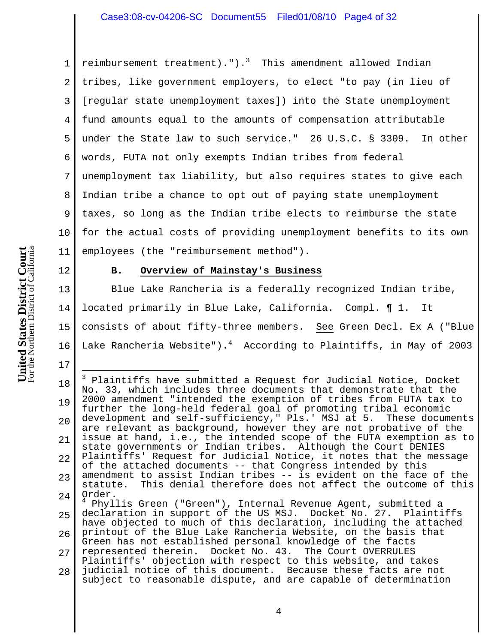## Case3:08-cv-04206-SC Document55 Filed01/08/10 Page4 of 32

1 2 3 4 5 6 7 8 9 10 11 reimbursement treatment).").<sup>3</sup> This amendment allowed Indian tribes, like government employers, to elect "to pay (in lieu of [regular state unemployment taxes]) into the State unemployment fund amounts equal to the amounts of compensation attributable under the State law to such service." 26 U.S.C. § 3309. In other words, FUTA not only exempts Indian tribes from federal unemployment tax liability, but also requires states to give each Indian tribe a chance to opt out of paying state unemployment taxes, so long as the Indian tribe elects to reimburse the state for the actual costs of providing unemployment benefits to its own employees (the "reimbursement method").

12

17

i.

### **B. Overview of Mainstay's Business**

13 14 15 16 Blue Lake Rancheria is a federally recognized Indian tribe, located primarily in Blue Lake, California. Compl. ¶ 1. It consists of about fifty-three members. See Green Decl. Ex A ("Blue Lake Rancheria Website"). $^4$  According to Plaintiffs, in May of 2003

<sup>18</sup> 19 20 21 22 23 24 <sup>3</sup> Plaintiffs have submitted a Request for Judicial Notice, Docket No. 33, which includes three documents that demonstrate that the 2000 amendment "intended the exemption of tribes from FUTA tax to further the long-held federal goal of promoting tribal economic development and self-sufficiency," Pls.' MSJ at 5. These documents are relevant as background, however they are not probative of the issue at hand, i.e., the intended scope of the FUTA exemption as to state governments or Indian tribes. Although the Court DENIES Plaintiffs' Request for Judicial Notice, it notes that the message of the attached documents -- that Congress intended by this amendment to assist Indian tribes -- is evident on the face of the statute. This denial therefore does not affect the outcome of this Order. <sup>4</sup> Phyllis Green ("Green"), Internal Revenue Agent, submitted a

<sup>25</sup> 26 27 declaration in support of the US MSJ. Docket No. 27. Plaintiffs have objected to much of this declaration, including the attached printout of the Blue Lake Rancheria Website, on the basis that Green has not established personal knowledge of the facts represented therein. Docket No. 43. The Court OVERRULES Plaintiffs' objection with respect to this website, and takes

<sup>28</sup> judicial notice of this document. Because these facts are not subject to reasonable dispute, and are capable of determination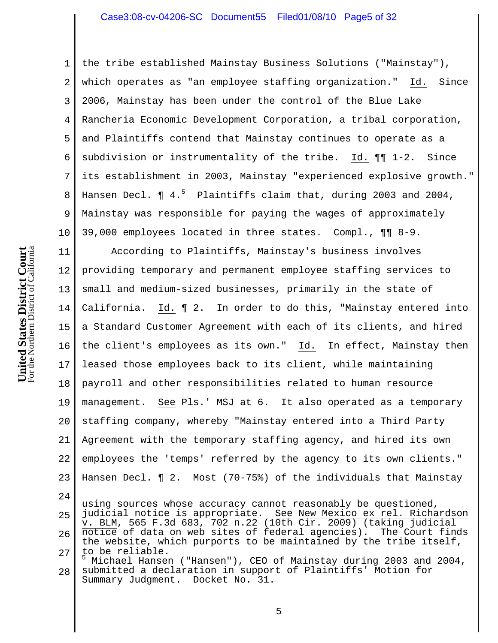## Case3:08-cv-04206-SC Document55 Filed01/08/10 Page5 of 32

1 2 3 4 5 6 7 8 9 10 the tribe established Mainstay Business Solutions ("Mainstay"), which operates as "an employee staffing organization." Id. Since 2006, Mainstay has been under the control of the Blue Lake Rancheria Economic Development Corporation, a tribal corporation, and Plaintiffs contend that Mainstay continues to operate as a subdivision or instrumentality of the tribe. Id. ¶¶ 1-2. Since its establishment in 2003, Mainstay "experienced explosive growth." Hansen Decl. ¶ 4.<sup>5</sup> Plaintiffs claim that, during 2003 and 2004, Mainstay was responsible for paying the wages of approximately 39,000 employees located in three states. Compl., ¶¶ 8-9.

11 12 13 14 15 16 17 18 19 20 21 22 23 According to Plaintiffs, Mainstay's business involves providing temporary and permanent employee staffing services to small and medium-sized businesses, primarily in the state of California. Id. ¶ 2. In order to do this, "Mainstay entered into a Standard Customer Agreement with each of its clients, and hired the client's employees as its own." Id. In effect, Mainstay then leased those employees back to its client, while maintaining payroll and other responsibilities related to human resource management. See Pls.' MSJ at 6. It also operated as a temporary staffing company, whereby "Mainstay entered into a Third Party Agreement with the temporary staffing agency, and hired its own employees the 'temps' referred by the agency to its own clients." Hansen Decl. ¶ 2. Most (70-75%) of the individuals that Mainstay

24 25 26 27 i using sources whose accuracy cannot reasonably be questioned, judicial notice is appropriate. See New Mexico ex rel. Richardson v. BLM, 565 F.3d 683, 702 n.22 (10th Cir. 2009) (taking judicial notice of data on web sites of federal agencies). The Court finds the website, which purports to be maintained by the tribe itself, to be reliable.

28 5 Michael Hansen ("Hansen"), CEO of Mainstay during 2003 and 2004, submitted a declaration in support of Plaintiffs' Motion for Summary Judgment. Docket No. 31.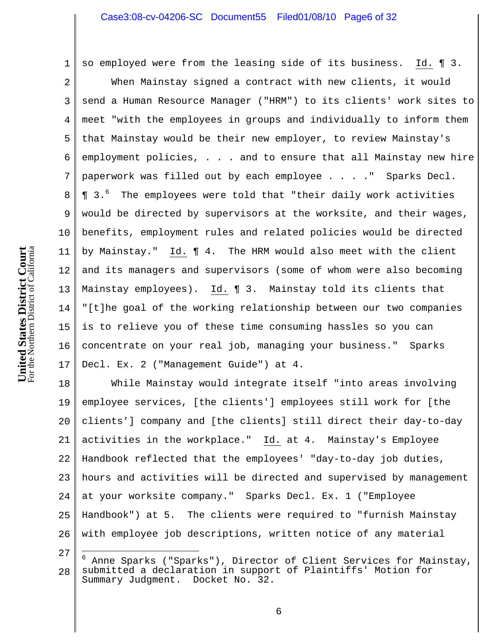## Case3:08-cv-04206-SC Document55 Filed01/08/10 Page6 of 32

so employed were from the leasing side of its business. Id. ¶ 3.

2 3 4 5 6 7 8 9 10 11 12 13 14 15 16 17 When Mainstay signed a contract with new clients, it would send a Human Resource Manager ("HRM") to its clients' work sites to meet "with the employees in groups and individually to inform them that Mainstay would be their new employer, to review Mainstay's employment policies, . . . and to ensure that all Mainstay new hire paperwork was filled out by each employee . . . ." Sparks Decl. **¶** 3.<sup>6</sup> The employees were told that "their daily work activities would be directed by supervisors at the worksite, and their wages, benefits, employment rules and related policies would be directed by Mainstay." Id. ¶ 4. The HRM would also meet with the client and its managers and supervisors (some of whom were also becoming Mainstay employees). Id. ¶ 3. Mainstay told its clients that "[t]he goal of the working relationship between our two companies is to relieve you of these time consuming hassles so you can concentrate on your real job, managing your business." Sparks Decl. Ex. 2 ("Management Guide") at 4.

18 19 20 21 22 23 24 25 26 While Mainstay would integrate itself "into areas involving employee services, [the clients'] employees still work for [the clients'] company and [the clients] still direct their day-to-day activities in the workplace." Id. at 4. Mainstay's Employee Handbook reflected that the employees' "day-to-day job duties, hours and activities will be directed and supervised by management at your worksite company." Sparks Decl. Ex. 1 ("Employee Handbook") at 5. The clients were required to "furnish Mainstay with employee job descriptions, written notice of any material

<sup>27</sup> 28 6 Anne Sparks ("Sparks"), Director of Client Services for Mainstay, submitted a declaration in support of Plaintiffs' Motion for Summary Judgment. Docket No. 32.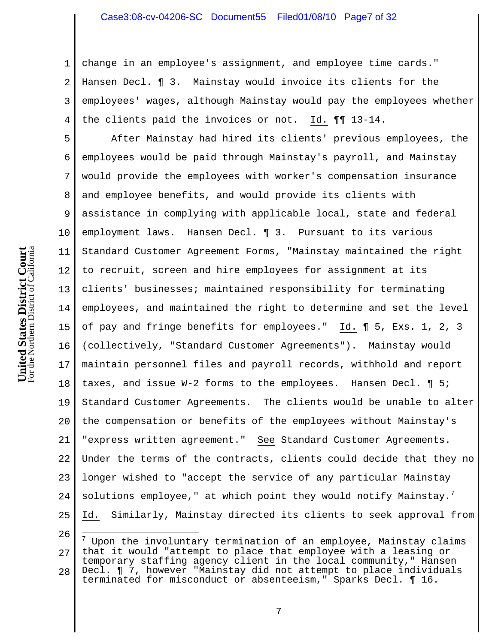## Case3:08-cv-04206-SC Document55 Filed01/08/10 Page7 of 32

1 2 3 4 change in an employee's assignment, and employee time cards." Hansen Decl. ¶ 3. Mainstay would invoice its clients for the employees' wages, although Mainstay would pay the employees whether the clients paid the invoices or not. Id. ¶¶ 13-14.

5 6 7 8 9 10 11 12 13 14 15 16 17 18 19 20 21 22 23 24 25 After Mainstay had hired its clients' previous employees, the employees would be paid through Mainstay's payroll, and Mainstay would provide the employees with worker's compensation insurance and employee benefits, and would provide its clients with assistance in complying with applicable local, state and federal employment laws. Hansen Decl. ¶ 3. Pursuant to its various Standard Customer Agreement Forms, "Mainstay maintained the right to recruit, screen and hire employees for assignment at its clients' businesses; maintained responsibility for terminating employees, and maintained the right to determine and set the level of pay and fringe benefits for employees." Id. ¶ 5, Exs. 1, 2, 3 (collectively, "Standard Customer Agreements"). Mainstay would maintain personnel files and payroll records, withhold and report taxes, and issue W-2 forms to the employees. Hansen Decl. ¶ 5; Standard Customer Agreements. The clients would be unable to alter the compensation or benefits of the employees without Mainstay's "express written agreement." See Standard Customer Agreements. Under the terms of the contracts, clients could decide that they no longer wished to "accept the service of any particular Mainstay solutions employee," at which point they would notify Mainstay. $^7$ Id. Similarly, Mainstay directed its clients to seek approval from

<sup>26</sup> 27 28 7 Upon the involuntary termination of an employee, Mainstay claims that it would "attempt to place that employee with a leasing or temporary staffing agency client in the local community," Hansen Decl. ¶ 7, however "Mainstay did not attempt to place individuals

terminated for misconduct or absenteeism," Sparks Decl. ¶ 16.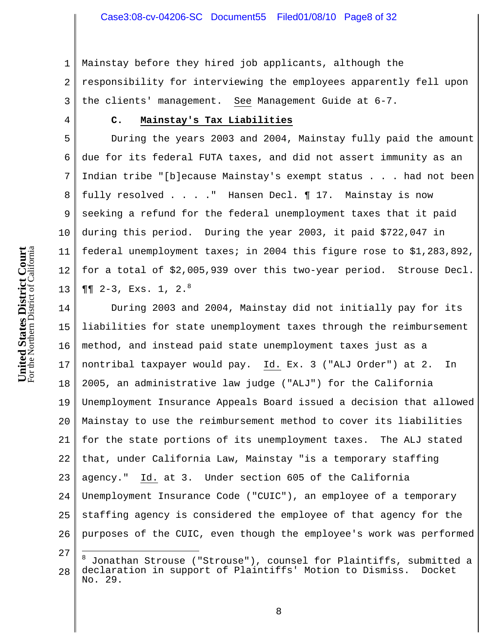1 2 3 Mainstay before they hired job applicants, although the responsibility for interviewing the employees apparently fell upon the clients' management. See Management Guide at 6-7.

# **C. Mainstay's Tax Liabilities**

5 6 7 8 9 10 11 12 13 During the years 2003 and 2004, Mainstay fully paid the amount due for its federal FUTA taxes, and did not assert immunity as an Indian tribe "[b]ecause Mainstay's exempt status . . . had not been fully resolved . . . ." Hansen Decl. ¶ 17. Mainstay is now seeking a refund for the federal unemployment taxes that it paid during this period. During the year 2003, it paid \$722,047 in federal unemployment taxes; in 2004 this figure rose to \$1,283,892, for a total of \$2,005,939 over this two-year period. Strouse Decl.  $\P\P$  2-3, Exs. 1, 2. $8$ 

14 15 16 17 18 19 20 21 22 23 24 25 26 During 2003 and 2004, Mainstay did not initially pay for its liabilities for state unemployment taxes through the reimbursement method, and instead paid state unemployment taxes just as a nontribal taxpayer would pay. Id. Ex. 3 ("ALJ Order") at 2. In 2005, an administrative law judge ("ALJ") for the California Unemployment Insurance Appeals Board issued a decision that allowed Mainstay to use the reimbursement method to cover its liabilities for the state portions of its unemployment taxes. The ALJ stated that, under California Law, Mainstay "is a temporary staffing agency." Id. at 3. Under section 605 of the California Unemployment Insurance Code ("CUIC"), an employee of a temporary staffing agency is considered the employee of that agency for the purposes of the CUIC, even though the employee's work was performed

27

i

4

<sup>28</sup> 8 Jonathan Strouse ("Strouse"), counsel for Plaintiffs, submitted a declaration in support of Plaintiffs' Motion to Dismiss. Docket No. 29.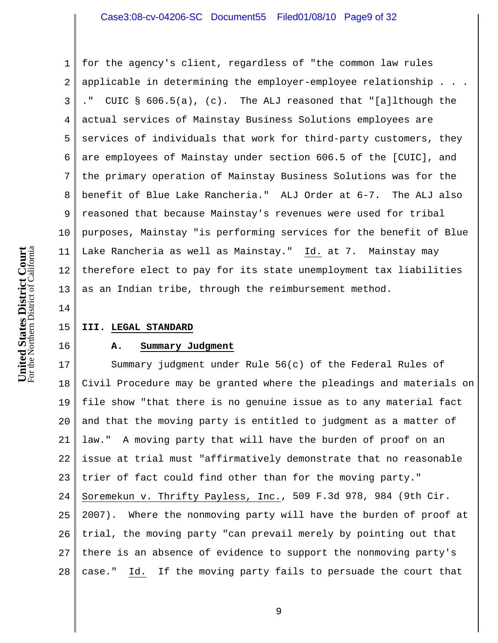## Case3:08-cv-04206-SC Document55 Filed01/08/10 Page9 of 32

1 2 3 4 5 6 7 8 9 10 11 12 13 for the agency's client, regardless of "the common law rules applicable in determining the employer-employee relationship . . . ." CUIC § 606.5(a), (c). The ALJ reasoned that "[a]lthough the actual services of Mainstay Business Solutions employees are services of individuals that work for third-party customers, they are employees of Mainstay under section 606.5 of the [CUIC], and the primary operation of Mainstay Business Solutions was for the benefit of Blue Lake Rancheria." ALJ Order at 6-7. The ALJ also reasoned that because Mainstay's revenues were used for tribal purposes, Mainstay "is performing services for the benefit of Blue Lake Rancheria as well as Mainstay." Id. at 7. Mainstay may therefore elect to pay for its state unemployment tax liabilities as an Indian tribe, through the reimbursement method.

14

16

#### 15 **III. LEGAL STANDARD**

#### **A. Summary Judgment**

17 18 19 20 21 22 23 24 25 26 27 28 Summary judgment under Rule 56(c) of the Federal Rules of Civil Procedure may be granted where the pleadings and materials on file show "that there is no genuine issue as to any material fact and that the moving party is entitled to judgment as a matter of law." A moving party that will have the burden of proof on an issue at trial must "affirmatively demonstrate that no reasonable trier of fact could find other than for the moving party." Soremekun v. Thrifty Payless, Inc., 509 F.3d 978, 984 (9th Cir. 2007). Where the nonmoving party will have the burden of proof at trial, the moving party "can prevail merely by pointing out that there is an absence of evidence to support the nonmoving party's case." Id. If the moving party fails to persuade the court that

For the Northern District of California **United States District Court**<br>For the Northern District of California **United States District Court**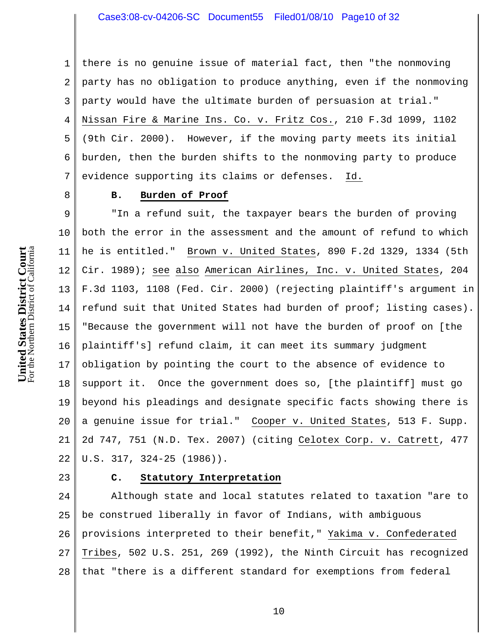## Case3:08-cv-04206-SC Document55 Filed01/08/10 Page10 of 32

1  $\overline{a}$ 3 4 5 6 7 there is no genuine issue of material fact, then "the nonmoving party has no obligation to produce anything, even if the nonmoving party would have the ultimate burden of persuasion at trial." Nissan Fire & Marine Ins. Co. v. Fritz Cos., 210 F.3d 1099, 1102 (9th Cir. 2000). However, if the moving party meets its initial burden, then the burden shifts to the nonmoving party to produce evidence supporting its claims or defenses. Id.

8

### **B. Burden of Proof**

9 10 11 12 13 14 15 16 17 18 19 20 21 22 "In a refund suit, the taxpayer bears the burden of proving both the error in the assessment and the amount of refund to which he is entitled." Brown v. United States, 890 F.2d 1329, 1334 (5th Cir. 1989); see also American Airlines, Inc. v. United States, 204 F.3d 1103, 1108 (Fed. Cir. 2000) (rejecting plaintiff's argument in refund suit that United States had burden of proof; listing cases). "Because the government will not have the burden of proof on [the plaintiff's] refund claim, it can meet its summary judgment obligation by pointing the court to the absence of evidence to support it. Once the government does so, [the plaintiff] must go beyond his pleadings and designate specific facts showing there is a genuine issue for trial." Cooper v. United States, 513 F. Supp. 2d 747, 751 (N.D. Tex. 2007) (citing Celotex Corp. v. Catrett, 477 U.S. 317, 324-25 (1986)).

23

### **C. Statutory Interpretation**

24 25 26 27 28 Although state and local statutes related to taxation "are to be construed liberally in favor of Indians, with ambiguous provisions interpreted to their benefit," Yakima v. Confederated Tribes, 502 U.S. 251, 269 (1992), the Ninth Circuit has recognized that "there is a different standard for exemptions from federal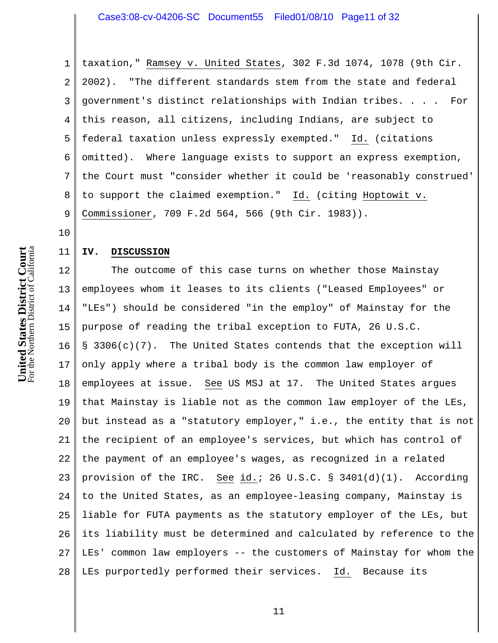## Case3:08-cv-04206-SC Document55 Filed01/08/10 Page11 of 32

1 2 3 4 5 6 7 8 9 taxation," Ramsey v. United States, 302 F.3d 1074, 1078 (9th Cir. 2002). "The different standards stem from the state and federal government's distinct relationships with Indian tribes. . . . For this reason, all citizens, including Indians, are subject to federal taxation unless expressly exempted." Id. (citations omitted). Where language exists to support an express exemption, the Court must "consider whether it could be 'reasonably construed' to support the claimed exemption." Id. (citing Hoptowit v. Commissioner, 709 F.2d 564, 566 (9th Cir. 1983)).

10

11

#### **IV. DISCUSSION**

12 13 14 15 16 17 18 19 20 21 22 23 24 25 26 27 28 The outcome of this case turns on whether those Mainstay employees whom it leases to its clients ("Leased Employees" or "LEs") should be considered "in the employ" of Mainstay for the purpose of reading the tribal exception to FUTA, 26 U.S.C. § 3306(c)(7). The United States contends that the exception will only apply where a tribal body is the common law employer of employees at issue. See US MSJ at 17. The United States argues that Mainstay is liable not as the common law employer of the LEs, but instead as a "statutory employer," i.e., the entity that is not the recipient of an employee's services, but which has control of the payment of an employee's wages, as recognized in a related provision of the IRC. See id.; 26 U.S.C. § 3401(d)(1). According to the United States, as an employee-leasing company, Mainstay is liable for FUTA payments as the statutory employer of the LEs, but its liability must be determined and calculated by reference to the LEs' common law employers -- the customers of Mainstay for whom the LEs purportedly performed their services. Id. Because its

For the Northern District of California **United States District Court**<br>For the Northern District of California **United States District Court**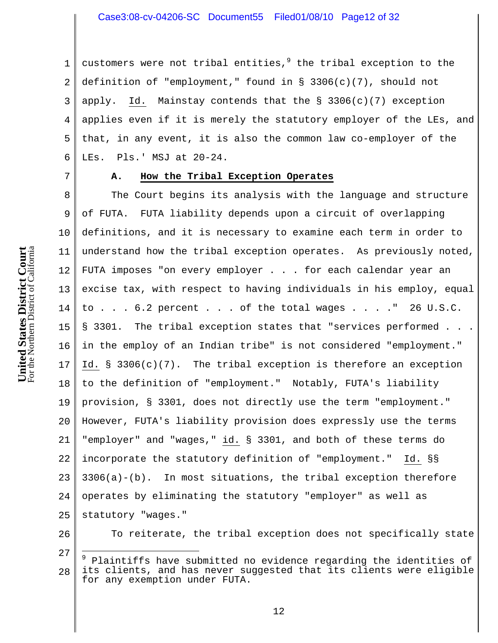## Case3:08-cv-04206-SC Document55 Filed01/08/10 Page12 of 32

1 2 3 4 5 6 customers were not tribal entities,<sup>9</sup> the tribal exception to the definition of "employment," found in § 3306(c)(7), should not apply. Id. Mainstay contends that the  $\S$  3306(c)(7) exception applies even if it is merely the statutory employer of the LEs, and that, in any event, it is also the common law co-employer of the LEs. Pls.' MSJ at 20-24.

7

#### **A. How the Tribal Exception Operates**

8 9 10 11 12 13 14 15 16 17 18 19 20 21 22 23 24 25 The Court begins its analysis with the language and structure of FUTA. FUTA liability depends upon a circuit of overlapping definitions, and it is necessary to examine each term in order to understand how the tribal exception operates. As previously noted, FUTA imposes "on every employer . . . for each calendar year an excise tax, with respect to having individuals in his employ, equal to . . . 6.2 percent . . . of the total wages . . . ." 26 U.S.C. § 3301. The tribal exception states that "services performed . . . in the employ of an Indian tribe" is not considered "employment." Id. § 3306(c)(7). The tribal exception is therefore an exception to the definition of "employment." Notably, FUTA's liability provision, § 3301, does not directly use the term "employment." However, FUTA's liability provision does expressly use the terms "employer" and "wages," id. § 3301, and both of these terms do incorporate the statutory definition of "employment." Id. §§  $3306(a) - (b)$ . In most situations, the tribal exception therefore operates by eliminating the statutory "employer" as well as statutory "wages."

26

i

To reiterate, the tribal exception does not specifically state

<sup>27</sup> 28 <sup>9</sup> Plaintiffs have submitted no evidence regarding the identities of its clients, and has never suggested that its clients were eligible for any exemption under FUTA.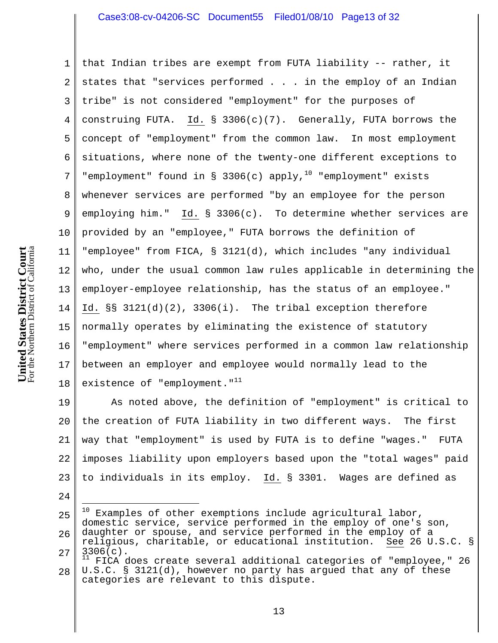## Case3:08-cv-04206-SC Document55 Filed01/08/10 Page13 of 32

1 2 3 4 5 6 7 8 9 10 11 12 13 14 15 16 17 18 that Indian tribes are exempt from FUTA liability -- rather, it states that "services performed . . . in the employ of an Indian tribe" is not considered "employment" for the purposes of construing FUTA. Id. § 3306(c)(7). Generally, FUTA borrows the concept of "employment" from the common law. In most employment situations, where none of the twenty-one different exceptions to "employment" found in § 3306(c) apply,<sup>10</sup> "employment" exists whenever services are performed "by an employee for the person employing him." Id. § 3306(c). To determine whether services are provided by an "employee," FUTA borrows the definition of "employee" from FICA, § 3121(d), which includes "any individual who, under the usual common law rules applicable in determining the employer-employee relationship, has the status of an employee." Id. §§ 3121(d)(2), 3306(i). The tribal exception therefore normally operates by eliminating the existence of statutory "employment" where services performed in a common law relationship between an employer and employee would normally lead to the existence of "employment."<sup>11</sup>

19 20 21 22 23 As noted above, the definition of "employment" is critical to the creation of FUTA liability in two different ways. The first way that "employment" is used by FUTA is to define "wages." FUTA imposes liability upon employers based upon the "total wages" paid to individuals in its employ. Id. § 3301. Wages are defined as

24

25 26 27 10 Examples of other exemptions include agricultural labor, domestic service, service performed in the employ of one's son, daughter or spouse, and service performed in the employ of a religious, charitable, or educational institution. See 26 U.S.C. §  $3306(c)$ .<br><sup>11</sup> FTCA C

28 11 FICA does create several additional categories of "employee," 26 U.S.C. § 3121(d), however no party has argued that any of these categories are relevant to this dispute.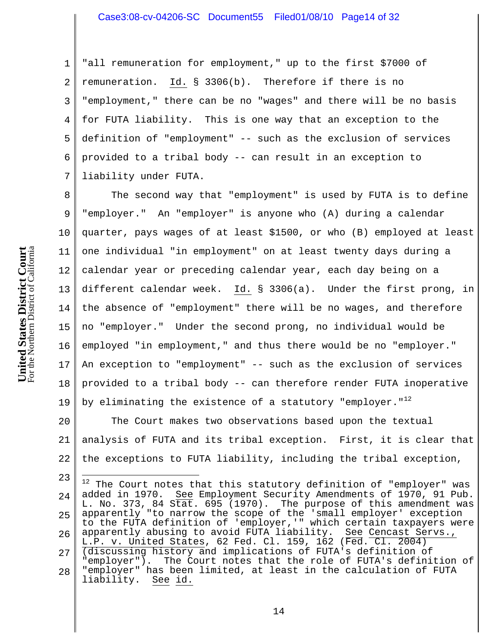### Case3:08-cv-04206-SC Document55 Filed01/08/10 Page14 of 32

1 2 3 4 5 6 7 "all remuneration for employment," up to the first \$7000 of remuneration. Id. § 3306(b). Therefore if there is no "employment," there can be no "wages" and there will be no basis for FUTA liability. This is one way that an exception to the definition of "employment" -- such as the exclusion of services provided to a tribal body -- can result in an exception to liability under FUTA.

8 9 10 11 12 13 14 15 16 17 18 19 The second way that "employment" is used by FUTA is to define "employer." An "employer" is anyone who (A) during a calendar quarter, pays wages of at least \$1500, or who (B) employed at least one individual "in employment" on at least twenty days during a calendar year or preceding calendar year, each day being on a different calendar week. Id. § 3306(a). Under the first prong, in the absence of "employment" there will be no wages, and therefore no "employer." Under the second prong, no individual would be employed "in employment," and thus there would be no "employer." An exception to "employment" -- such as the exclusion of services provided to a tribal body -- can therefore render FUTA inoperative by eliminating the existence of a statutory "employer." $12$ 

20 21 22 The Court makes two observations based upon the textual analysis of FUTA and its tribal exception. First, it is clear that the exceptions to FUTA liability, including the tribal exception,

23 24 25 26 27 28 i.  $12$  The Court notes that this statutory definition of "employer" was added in 1970. See Employment Security Amendments of 1970, 91 Pub. L. No. 373, 84 Stat. 695 (1970). The purpose of this amendment was apparently "to narrow the scope of the 'small employer' exception to the FUTA definition of 'employer,'" which certain taxpayers were apparently abusing to avoid FUTA liability. See Cencast Servs., L.P. v. United States, 62 Fed. Cl. 159, 162 (Fed. Cl. 2004) (discussing history and implications of FUTA's definition of "employer"). The Court notes that the role of FUTA's definition of "employer" has been limited, at least in the calculation of FUTA liability. See id.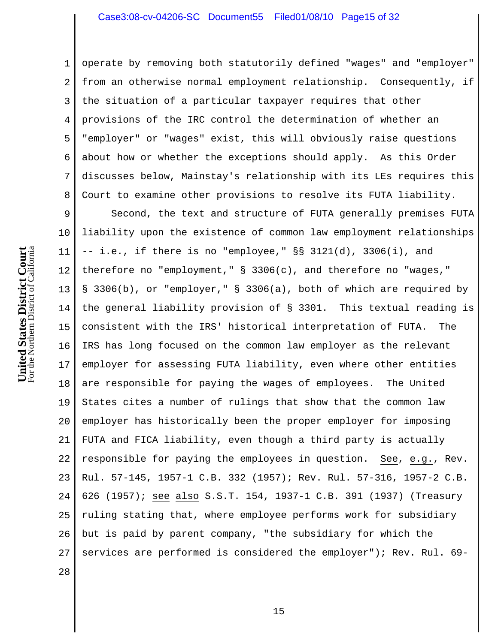## Case3:08-cv-04206-SC Document55 Filed01/08/10 Page15 of 32

1 2 3 4 5 6 7 8 operate by removing both statutorily defined "wages" and "employer" from an otherwise normal employment relationship. Consequently, if the situation of a particular taxpayer requires that other provisions of the IRC control the determination of whether an "employer" or "wages" exist, this will obviously raise questions about how or whether the exceptions should apply. As this Order discusses below, Mainstay's relationship with its LEs requires this Court to examine other provisions to resolve its FUTA liability.

9 10 11 12 13 14 15 16 17 18 19 20 21 22 23 24 25 26 27 Second, the text and structure of FUTA generally premises FUTA liability upon the existence of common law employment relationships -- i.e., if there is no "employee," §§ 3121(d), 3306(i), and therefore no "employment," § 3306(c), and therefore no "wages," § 3306(b), or "employer," § 3306(a), both of which are required by the general liability provision of § 3301. This textual reading is consistent with the IRS' historical interpretation of FUTA. The IRS has long focused on the common law employer as the relevant employer for assessing FUTA liability, even where other entities are responsible for paying the wages of employees. The United States cites a number of rulings that show that the common law employer has historically been the proper employer for imposing FUTA and FICA liability, even though a third party is actually responsible for paying the employees in question. See, e.g., Rev. Rul. 57-145, 1957-1 C.B. 332 (1957); Rev. Rul. 57-316, 1957-2 C.B. 626 (1957); see also S.S.T. 154, 1937-1 C.B. 391 (1937) (Treasury ruling stating that, where employee performs work for subsidiary but is paid by parent company, "the subsidiary for which the services are performed is considered the employer"); Rev. Rul. 69-

For the Northern District of California **United States District Court**<br>For the Northern District of California **United States District Court**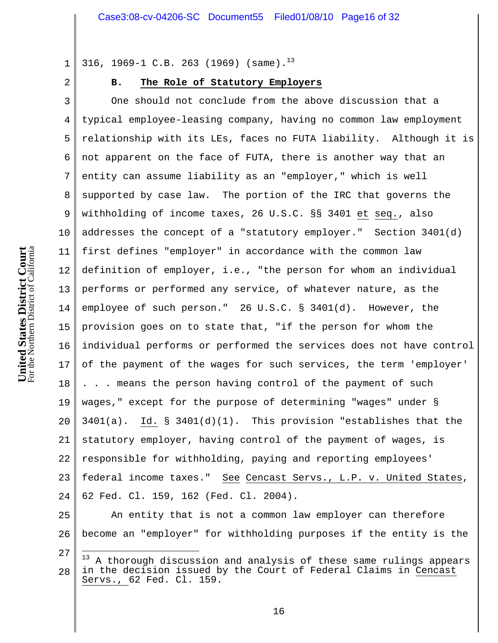316, 1969-1 C.B. 263 (1969) (same).<sup>13</sup>

2

1

## **B. The Role of Statutory Employers**

3 4 5 6 7 8 9 10 11 12 13 14 15 16 17 18 19 20 21 22 23 24 One should not conclude from the above discussion that a typical employee-leasing company, having no common law employment relationship with its LEs, faces no FUTA liability. Although it is not apparent on the face of FUTA, there is another way that an entity can assume liability as an "employer," which is well supported by case law. The portion of the IRC that governs the withholding of income taxes, 26 U.S.C. §§ 3401 et seq., also addresses the concept of a "statutory employer." Section 3401(d) first defines "employer" in accordance with the common law definition of employer, i.e., "the person for whom an individual performs or performed any service, of whatever nature, as the employee of such person." 26 U.S.C. § 3401(d). However, the provision goes on to state that, "if the person for whom the individual performs or performed the services does not have control of the payment of the wages for such services, the term 'employer' . . . means the person having control of the payment of such wages," except for the purpose of determining "wages" under §  $3401(a)$ . Id. §  $3401(d)(1)$ . This provision "establishes that the statutory employer, having control of the payment of wages, is responsible for withholding, paying and reporting employees' federal income taxes." See Cencast Servs., L.P. v. United States, 62 Fed. Cl. 159, 162 (Fed. Cl. 2004).

25 26 An entity that is not a common law employer can therefore become an "employer" for withholding purposes if the entity is the

<sup>27</sup> 28  $13$ 13 A thorough discussion and analysis of these same rulings appears in the decision issued by the Court of Federal Claims in Cencast Servs., 62 Fed. Cl. 159.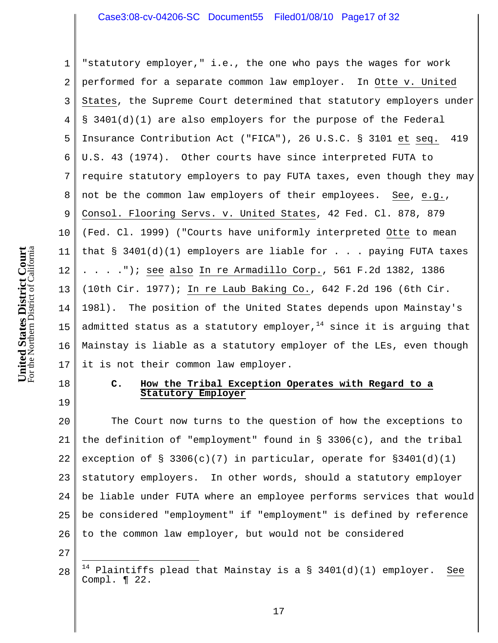## Case3:08-cv-04206-SC Document55 Filed01/08/10 Page17 of 32

1 2 3 4 5 6 7 8 9 10 11 12 13 14 15 16 17 "statutory employer," i.e., the one who pays the wages for work performed for a separate common law employer. In Otte v. United States, the Supreme Court determined that statutory employers under § 3401(d)(1) are also employers for the purpose of the Federal Insurance Contribution Act ("FICA"), 26 U.S.C. § 3101 et seq. 419 U.S. 43 (1974). Other courts have since interpreted FUTA to require statutory employers to pay FUTA taxes, even though they may not be the common law employers of their employees. See, e.g., Consol. Flooring Servs. v. United States, 42 Fed. Cl. 878, 879 (Fed. Cl. 1999) ("Courts have uniformly interpreted Otte to mean that  $\S$  3401(d)(1) employers are liable for . . . paying FUTA taxes . . . ."); see also In re Armadillo Corp., 561 F.2d 1382, 1386 (10th Cir. 1977); In re Laub Baking Co., 642 F.2d 196 (6th Cir. 198l). The position of the United States depends upon Mainstay's admitted status as a statutory employer,  $14$  since it is arguing that Mainstay is liable as a statutory employer of the LEs, even though it is not their common law employer.

## **C. How the Tribal Exception Operates with Regard to a Statutory Employer**

20 21 22 23 24 25 26 The Court now turns to the question of how the exceptions to the definition of "employment" found in  $\S$  3306(c), and the tribal exception of  $\S$  3306(c)(7) in particular, operate for  $\S 3401(d)(1)$ statutory employers. In other words, should a statutory employer be liable under FUTA where an employee performs services that would be considered "employment" if "employment" is defined by reference to the common law employer, but would not be considered

27

i<br>S

18

<sup>28</sup> Plaintiffs plead that Mainstay is a  $\S$  3401(d)(1) employer. See Compl. ¶ 22.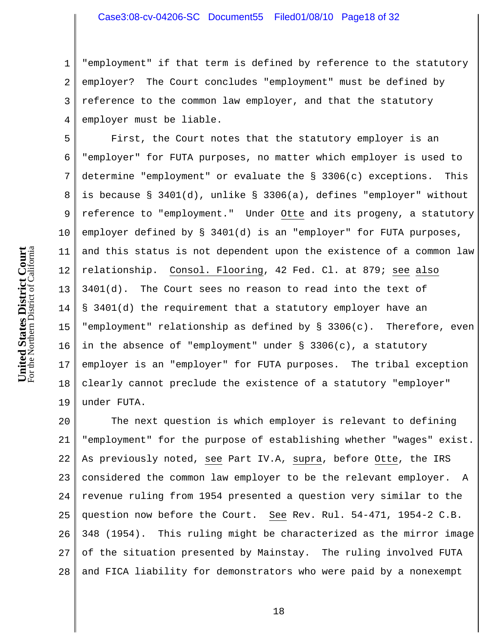1 2 3 4 "employment" if that term is defined by reference to the statutory employer? The Court concludes "employment" must be defined by reference to the common law employer, and that the statutory employer must be liable.

5 6 7 8 9 10 11 12 13 14 15 16 17 18 19 First, the Court notes that the statutory employer is an "employer" for FUTA purposes, no matter which employer is used to determine "employment" or evaluate the § 3306(c) exceptions. This is because § 3401(d), unlike § 3306(a), defines "employer" without reference to "employment." Under Otte and its progeny, a statutory employer defined by § 3401(d) is an "employer" for FUTA purposes, and this status is not dependent upon the existence of a common law relationship. Consol. Flooring, 42 Fed. Cl. at 879; see also 3401(d). The Court sees no reason to read into the text of § 3401(d) the requirement that a statutory employer have an "employment" relationship as defined by § 3306(c). Therefore, even in the absence of "employment" under  $\S$  3306(c), a statutory employer is an "employer" for FUTA purposes. The tribal exception clearly cannot preclude the existence of a statutory "employer" under FUTA.

20 21 22 23 24 25 26 27 28 The next question is which employer is relevant to defining "employment" for the purpose of establishing whether "wages" exist. As previously noted, see Part IV.A, supra, before Otte, the IRS considered the common law employer to be the relevant employer. A revenue ruling from 1954 presented a question very similar to the question now before the Court. See Rev. Rul. 54-471, 1954-2 C.B. 348 (1954). This ruling might be characterized as the mirror image of the situation presented by Mainstay. The ruling involved FUTA and FICA liability for demonstrators who were paid by a nonexempt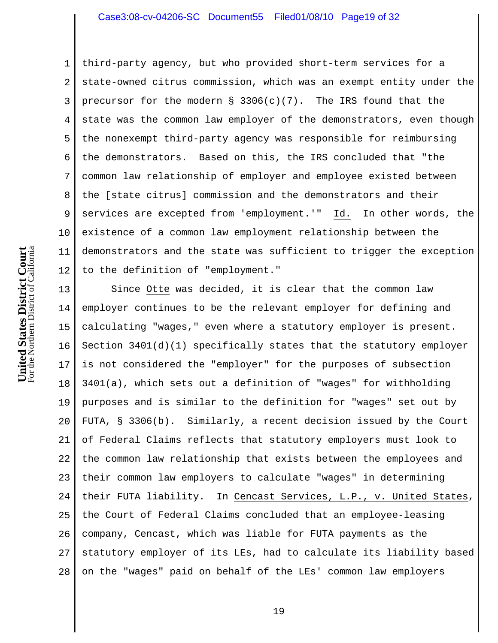## Case3:08-cv-04206-SC Document55 Filed01/08/10 Page19 of 32

1 2 3 4 5 6 7 8 9 10 11 12 third-party agency, but who provided short-term services for a state-owned citrus commission, which was an exempt entity under the precursor for the modern  $\S$  3306(c)(7). The IRS found that the state was the common law employer of the demonstrators, even though the nonexempt third-party agency was responsible for reimbursing the demonstrators. Based on this, the IRS concluded that "the common law relationship of employer and employee existed between the [state citrus] commission and the demonstrators and their services are excepted from 'employment.'" Id. In other words, the existence of a common law employment relationship between the demonstrators and the state was sufficient to trigger the exception to the definition of "employment."

13 14 15 16 17 18 19 20 21 22 23 24 25 26 27 28 Since Otte was decided, it is clear that the common law employer continues to be the relevant employer for defining and calculating "wages," even where a statutory employer is present. Section 3401(d)(1) specifically states that the statutory employer is not considered the "employer" for the purposes of subsection 3401(a), which sets out a definition of "wages" for withholding purposes and is similar to the definition for "wages" set out by FUTA, § 3306(b). Similarly, a recent decision issued by the Court of Federal Claims reflects that statutory employers must look to the common law relationship that exists between the employees and their common law employers to calculate "wages" in determining their FUTA liability. In Cencast Services, L.P., v. United States, the Court of Federal Claims concluded that an employee-leasing company, Cencast, which was liable for FUTA payments as the statutory employer of its LEs, had to calculate its liability based on the "wages" paid on behalf of the LEs' common law employers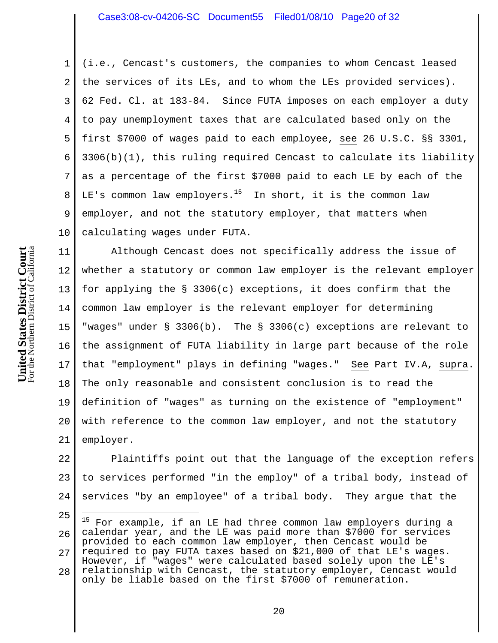1 2 3 4 5 6 7 8 9 10 (i.e., Cencast's customers, the companies to whom Cencast leased the services of its LEs, and to whom the LEs provided services). 62 Fed. Cl. at 183-84. Since FUTA imposes on each employer a duty to pay unemployment taxes that are calculated based only on the first \$7000 of wages paid to each employee, see 26 U.S.C. §§ 3301,  $3306(b)(1)$ , this ruling required Cencast to calculate its liability as a percentage of the first \$7000 paid to each LE by each of the LE's common law employers.<sup>15</sup> In short, it is the common law employer, and not the statutory employer, that matters when calculating wages under FUTA.

11 12 13 14 15 16 17 18 19 20 21 Although Cencast does not specifically address the issue of whether a statutory or common law employer is the relevant employer for applying the § 3306(c) exceptions, it does confirm that the common law employer is the relevant employer for determining "wages" under § 3306(b). The § 3306(c) exceptions are relevant to the assignment of FUTA liability in large part because of the role that "employment" plays in defining "wages." See Part IV.A, supra. The only reasonable and consistent conclusion is to read the definition of "wages" as turning on the existence of "employment" with reference to the common law employer, and not the statutory employer.

22 23 24 Plaintiffs point out that the language of the exception refers to services performed "in the employ" of a tribal body, instead of services "by an employee" of a tribal body. They argue that the

<sup>25</sup> 26 27 28 i.  $^{15}$  For example, if an LE had three common law employers during a calendar year, and the LE was paid more than \$7000 for services provided to each common law employer, then Cencast would be required to pay FUTA taxes based on \$21,000 of that LE's wages. However, if "wages" were calculated based solely upon the LE's relationship with Cencast, the statutory employer, Cencast would only be liable based on the first \$7000 of remuneration.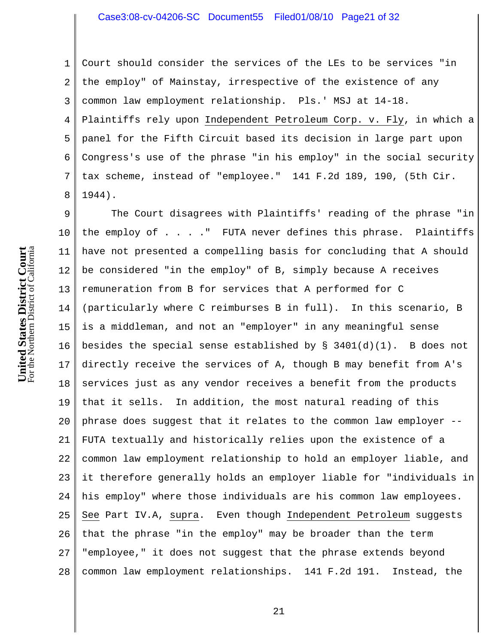## Case3:08-cv-04206-SC Document55 Filed01/08/10 Page21 of 32

1 2 3 4 5 6 7 8 Court should consider the services of the LEs to be services "in the employ" of Mainstay, irrespective of the existence of any common law employment relationship. Pls.' MSJ at 14-18. Plaintiffs rely upon Independent Petroleum Corp. v. Fly, in which a panel for the Fifth Circuit based its decision in large part upon Congress's use of the phrase "in his employ" in the social security tax scheme, instead of "employee." 141 F.2d 189, 190, (5th Cir. 1944).

9 10 11 12 13 14 15 16 17 18 19 20 21 22 23 24 25 26 27 28 The Court disagrees with Plaintiffs' reading of the phrase "in the employ of . . . ." FUTA never defines this phrase. Plaintiffs have not presented a compelling basis for concluding that A should be considered "in the employ" of B, simply because A receives remuneration from B for services that A performed for C (particularly where C reimburses B in full). In this scenario, B is a middleman, and not an "employer" in any meaningful sense besides the special sense established by  $\S$  3401(d)(1). B does not directly receive the services of A, though B may benefit from A's services just as any vendor receives a benefit from the products that it sells. In addition, the most natural reading of this phrase does suggest that it relates to the common law employer -- FUTA textually and historically relies upon the existence of a common law employment relationship to hold an employer liable, and it therefore generally holds an employer liable for "individuals in his employ" where those individuals are his common law employees. See Part IV.A, supra. Even though Independent Petroleum suggests that the phrase "in the employ" may be broader than the term "employee," it does not suggest that the phrase extends beyond common law employment relationships. 141 F.2d 191. Instead, the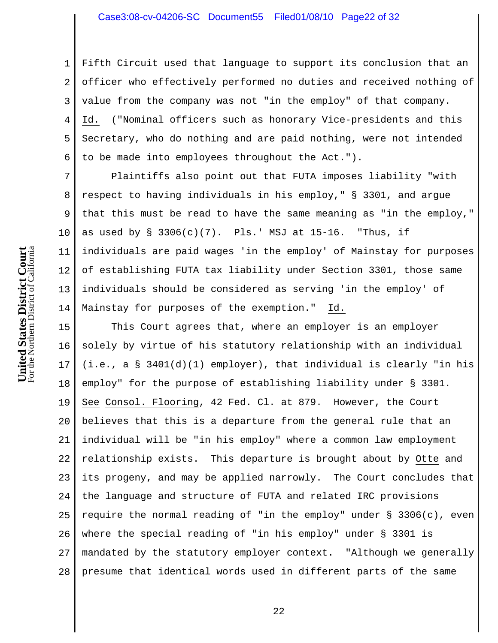1 2 3 4 5 6 Fifth Circuit used that language to support its conclusion that an officer who effectively performed no duties and received nothing of value from the company was not "in the employ" of that company. Id. ("Nominal officers such as honorary Vice-presidents and this Secretary, who do nothing and are paid nothing, were not intended to be made into employees throughout the Act.").

7 8 9 10 11 12 13 14 Plaintiffs also point out that FUTA imposes liability "with respect to having individuals in his employ," § 3301, and argue that this must be read to have the same meaning as "in the employ," as used by  $\S$  3306(c)(7). Pls.' MSJ at 15-16. "Thus, if individuals are paid wages 'in the employ' of Mainstay for purposes of establishing FUTA tax liability under Section 3301, those same individuals should be considered as serving 'in the employ' of Mainstay for purposes of the exemption." Id.

15 16 17 18 19 20 21 22 23 24 25 26 27 28 This Court agrees that, where an employer is an employer solely by virtue of his statutory relationship with an individual (i.e., a § 3401(d)(1) employer), that individual is clearly "in his employ" for the purpose of establishing liability under § 3301. See Consol. Flooring, 42 Fed. Cl. at 879. However, the Court believes that this is a departure from the general rule that an individual will be "in his employ" where a common law employment relationship exists. This departure is brought about by Otte and its progeny, and may be applied narrowly. The Court concludes that the language and structure of FUTA and related IRC provisions require the normal reading of "in the employ" under § 3306(c), even where the special reading of "in his employ" under § 3301 is mandated by the statutory employer context. "Although we generally presume that identical words used in different parts of the same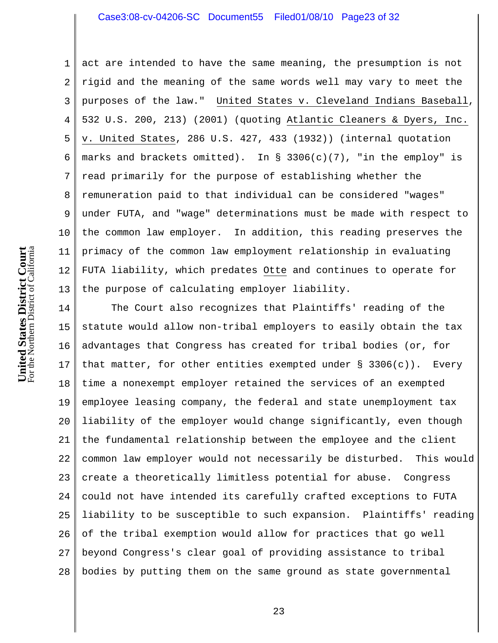## Case3:08-cv-04206-SC Document55 Filed01/08/10 Page23 of 32

1 2 3 4 5 6 7 8 9 10 11 12 13 act are intended to have the same meaning, the presumption is not rigid and the meaning of the same words well may vary to meet the purposes of the law." United States v. Cleveland Indians Baseball, 532 U.S. 200, 213) (2001) (quoting Atlantic Cleaners & Dyers, Inc. v. United States, 286 U.S. 427, 433 (1932)) (internal quotation marks and brackets omitted). In § 3306(c)(7), "in the employ" is read primarily for the purpose of establishing whether the remuneration paid to that individual can be considered "wages" under FUTA, and "wage" determinations must be made with respect to the common law employer. In addition, this reading preserves the primacy of the common law employment relationship in evaluating FUTA liability, which predates Otte and continues to operate for the purpose of calculating employer liability.

14 15 16 17 18 19 20 21 22 23 24 25 26 27 28 The Court also recognizes that Plaintiffs' reading of the statute would allow non-tribal employers to easily obtain the tax advantages that Congress has created for tribal bodies (or, for that matter, for other entities exempted under  $\S$  3306(c)). Every time a nonexempt employer retained the services of an exempted employee leasing company, the federal and state unemployment tax liability of the employer would change significantly, even though the fundamental relationship between the employee and the client common law employer would not necessarily be disturbed. This would create a theoretically limitless potential for abuse. Congress could not have intended its carefully crafted exceptions to FUTA liability to be susceptible to such expansion. Plaintiffs' reading of the tribal exemption would allow for practices that go well beyond Congress's clear goal of providing assistance to tribal bodies by putting them on the same ground as state governmental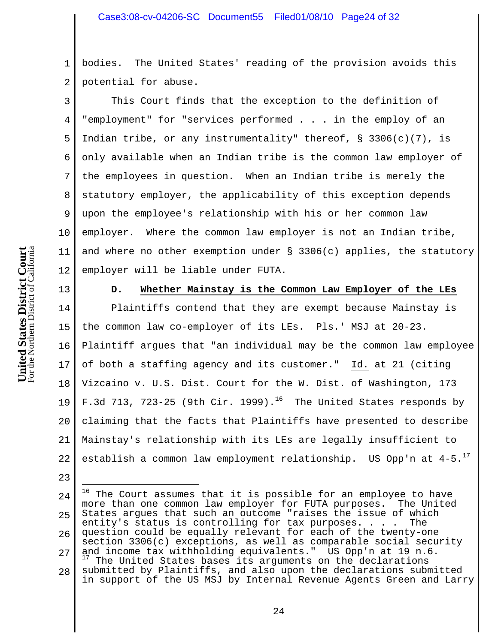1 2 bodies. The United States' reading of the provision avoids this potential for abuse.

3 4 5 6 7 8 9 10 11 12 This Court finds that the exception to the definition of "employment" for "services performed . . . in the employ of an Indian tribe, or any instrumentality" thereof,  $\S$  3306(c)(7), is only available when an Indian tribe is the common law employer of the employees in question. When an Indian tribe is merely the statutory employer, the applicability of this exception depends upon the employee's relationship with his or her common law employer. Where the common law employer is not an Indian tribe, and where no other exemption under  $\S$  3306(c) applies, the statutory employer will be liable under FUTA.

13

23

#### **D. Whether Mainstay is the Common Law Employer of the LEs**

14 15 16 17 18 19 20 21 22 Plaintiffs contend that they are exempt because Mainstay is the common law co-employer of its LEs. Pls.' MSJ at 20-23. Plaintiff argues that "an individual may be the common law employee of both a staffing agency and its customer." Id. at 21 (citing Vizcaino v. U.S. Dist. Court for the W. Dist. of Washington, 173 F.3d 713, 723-25 (9th Cir. 1999).<sup>16</sup> The United States responds by claiming that the facts that Plaintiffs have presented to describe Mainstay's relationship with its LEs are legally insufficient to establish a common law employment relationship. US Opp'n at  $4-5.^{17}$ 

<sup>24</sup> 25 26 27 28 J. <sup>16</sup> The Court assumes that it is possible for an employee to have more than one common law employer for FUTA purposes. The United States argues that such an outcome "raises the issue of which entity's status is controlling for tax purposes. . . . The question could be equally relevant for each of the twenty-one section 3306(c) exceptions, as well as comparable social security and income tax withholding equivalents." US Opp'n at 19 n.6. The United States bases its arguments on the declarations submitted by Plaintiffs, and also upon the declarations submitted in support of the US MSJ by Internal Revenue Agents Green and Larry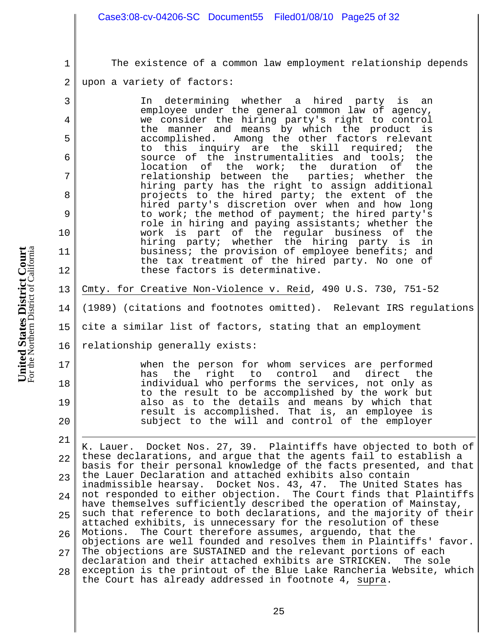- 2 3 4 5 6 7 8 9 10 For the Northern District of California **United States District Court**<br>For the Northern District of California **United States District Court** 11 12 13 14 15 16 17
- 1 18 19 20 21 The existence of a common law employment relationship depends upon a variety of factors: In determining whether a hired party is an employee under the general common law of agency, we consider the hiring party's right to control the manner and means by which the product is accomplished. Among the other factors relevant to this inquiry are the skill required; the source of the instrumentalities and tools; the location of the work; the duration of the<br>relationship between the parties; whether the relationship between the hiring party has the right to assign additional projects to the hired party; the extent of the hired party's discretion over when and how long to work; the method of payment; the hired party's role in hiring and paying assistants; whether the work is part of the regular business of the hiring party; whether the hiring party is in business; the provision of employee benefits; and the tax treatment of the hired party. No one of these factors is determinative. Cmty. for Creative Non-Violence v. Reid, 490 U.S. 730, 751-52 (1989) (citations and footnotes omitted). Relevant IRS regulations cite a similar list of factors, stating that an employment relationship generally exists: when the person for whom services are performed<br>has the right to control and direct the the right to control individual who performs the services, not only as to the result to be accomplished by the work but also as to the details and means by which that result is accomplished. That is, an employee is subject to the will and control of the employer i K. Lauer. Docket Nos. 27, 39. Plaintiffs have objected to both of these declarations, and argue that the agents fail to establish a

Case3:08-cv-04206-SC Document55 Filed01/08/10 Page25 of 32

22 23 24 25 26 27 28 basis for their personal knowledge of the facts presented, and that the Lauer Declaration and attached exhibits also contain inadmissible hearsay. Docket Nos. 43, 47. The United States has not responded to either objection. The Court finds that Plaintiffs have themselves sufficiently described the operation of Mainstay, such that reference to both declarations, and the majority of their attached exhibits, is unnecessary for the resolution of these Motions. The Court therefore assumes, arguendo, that the objections are well founded and resolves them in Plaintiffs' favor. The objections are SUSTAINED and the relevant portions of each declaration and their attached exhibits are STRICKEN. The sole exception is the printout of the Blue Lake Rancheria Website, which the Court has already addressed in footnote 4, supra.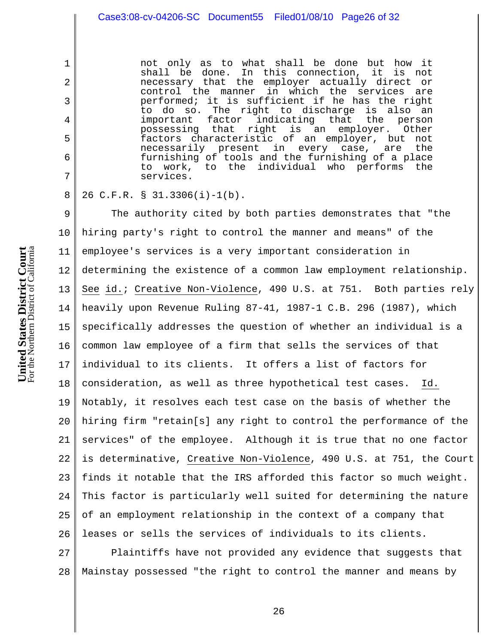not only as to what shall be done but how it shall be done. In this connection, it is not necessary that the employer actually direct or control the manner in which the services are performed; it is sufficient if he has the right to do so. The right to discharge is also an<br>important factor indicating that the person important factor indicating that the person possessing that right is an employer. Other factors characteristic of an employer, but not<br>necessarily present in every case, are the necessarily present in every case, are the furnishing of tools and the furnishing of a place to work, to the individual who performs the services.

26 C.F.R. § 31.3306(i)-1(b).

9 10 11 12 13 14 15 16 17 18 19 20 21 22 23 24 25 26 The authority cited by both parties demonstrates that "the hiring party's right to control the manner and means" of the employee's services is a very important consideration in determining the existence of a common law employment relationship. See id.; Creative Non-Violence, 490 U.S. at 751. Both parties rely heavily upon Revenue Ruling 87-41, 1987-1 C.B. 296 (1987), which specifically addresses the question of whether an individual is a common law employee of a firm that sells the services of that individual to its clients. It offers a list of factors for consideration, as well as three hypothetical test cases. Id. Notably, it resolves each test case on the basis of whether the hiring firm "retain[s] any right to control the performance of the services" of the employee. Although it is true that no one factor is determinative, Creative Non-Violence, 490 U.S. at 751, the Court finds it notable that the IRS afforded this factor so much weight. This factor is particularly well suited for determining the nature of an employment relationship in the context of a company that leases or sells the services of individuals to its clients.

27 28 Plaintiffs have not provided any evidence that suggests that Mainstay possessed "the right to control the manner and means by

1

2

3

4

5

6

7

8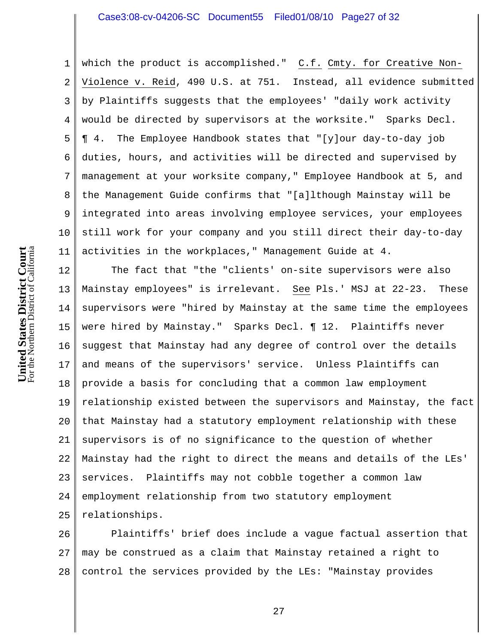## Case3:08-cv-04206-SC Document55 Filed01/08/10 Page27 of 32

1 2 3 4 5 6 7 8 9 10 11 which the product is accomplished." C.f. Cmty. for Creative Non-Violence v. Reid, 490 U.S. at 751. Instead, all evidence submitted by Plaintiffs suggests that the employees' "daily work activity would be directed by supervisors at the worksite." Sparks Decl. ¶ 4. The Employee Handbook states that "[y]our day-to-day job duties, hours, and activities will be directed and supervised by management at your worksite company," Employee Handbook at 5, and the Management Guide confirms that "[a]lthough Mainstay will be integrated into areas involving employee services, your employees still work for your company and you still direct their day-to-day activities in the workplaces," Management Guide at 4.

12 13 14 15 16 17 18 19 20 21 22 23 24 25 The fact that "the "clients' on-site supervisors were also Mainstay employees" is irrelevant. See Pls.' MSJ at 22-23. These supervisors were "hired by Mainstay at the same time the employees were hired by Mainstay." Sparks Decl. ¶ 12. Plaintiffs never suggest that Mainstay had any degree of control over the details and means of the supervisors' service. Unless Plaintiffs can provide a basis for concluding that a common law employment relationship existed between the supervisors and Mainstay, the fact that Mainstay had a statutory employment relationship with these supervisors is of no significance to the question of whether Mainstay had the right to direct the means and details of the LEs' services. Plaintiffs may not cobble together a common law employment relationship from two statutory employment relationships.

26 27 28 Plaintiffs' brief does include a vague factual assertion that may be construed as a claim that Mainstay retained a right to control the services provided by the LEs: "Mainstay provides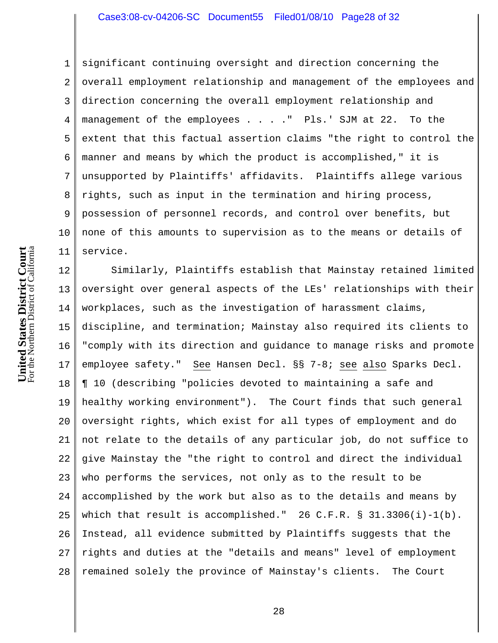## Case3:08-cv-04206-SC Document55 Filed01/08/10 Page28 of 32

1 2 3 4 5 6 7 8 9 10 11 significant continuing oversight and direction concerning the overall employment relationship and management of the employees and direction concerning the overall employment relationship and management of the employees . . . . " Pls.' SJM at 22. To the extent that this factual assertion claims "the right to control the manner and means by which the product is accomplished," it is unsupported by Plaintiffs' affidavits. Plaintiffs allege various rights, such as input in the termination and hiring process, possession of personnel records, and control over benefits, but none of this amounts to supervision as to the means or details of service.

12 13 14 15 16 17 18 19 20 21 22 23 24 25 26 27 28 Similarly, Plaintiffs establish that Mainstay retained limited oversight over general aspects of the LEs' relationships with their workplaces, such as the investigation of harassment claims, discipline, and termination; Mainstay also required its clients to "comply with its direction and guidance to manage risks and promote employee safety." See Hansen Decl. §§ 7-8; see also Sparks Decl. ¶ 10 (describing "policies devoted to maintaining a safe and healthy working environment"). The Court finds that such general oversight rights, which exist for all types of employment and do not relate to the details of any particular job, do not suffice to give Mainstay the "the right to control and direct the individual who performs the services, not only as to the result to be accomplished by the work but also as to the details and means by which that result is accomplished." 26 C.F.R.  $\S$  31.3306(i)-1(b). Instead, all evidence submitted by Plaintiffs suggests that the rights and duties at the "details and means" level of employment remained solely the province of Mainstay's clients. The Court

For the Northern District of California **United States District Court**<br>For the Northern District of California **United States District Court**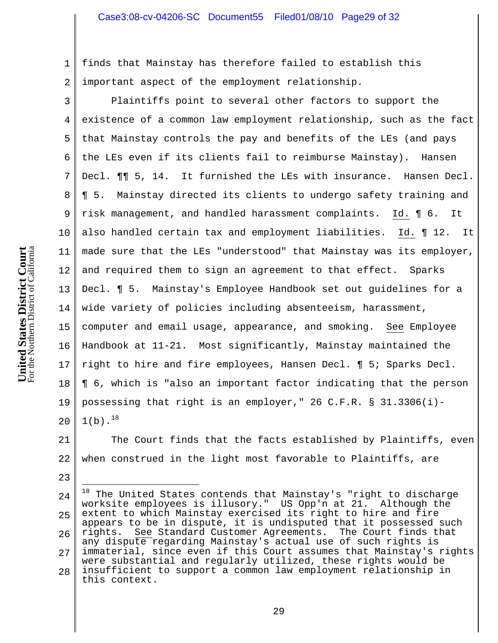1 2 finds that Mainstay has therefore failed to establish this important aspect of the employment relationship.

3 4 5 6 7 8 9 10 11 12 13 14 15 16 17 18 19 20 Plaintiffs point to several other factors to support the existence of a common law employment relationship, such as the fact that Mainstay controls the pay and benefits of the LEs (and pays the LEs even if its clients fail to reimburse Mainstay). Hansen Decl. ¶¶ 5, 14. It furnished the LEs with insurance. Hansen Decl. ¶ 5. Mainstay directed its clients to undergo safety training and risk management, and handled harassment complaints. Id. ¶ 6. It also handled certain tax and employment liabilities. Id. ¶ 12. It made sure that the LEs "understood" that Mainstay was its employer, and required them to sign an agreement to that effect. Sparks Decl. ¶ 5. Mainstay's Employee Handbook set out guidelines for a wide variety of policies including absenteeism, harassment, computer and email usage, appearance, and smoking. See Employee Handbook at 11-21. Most significantly, Mainstay maintained the right to hire and fire employees, Hansen Decl. ¶ 5; Sparks Decl. ¶ 6, which is "also an important factor indicating that the person possessing that right is an employer," 26 C.F.R. § 31.3306(i)-  $1(b).^{18}$ 

21 22 The Court finds that the facts established by Plaintiffs, even when construed in the light most favorable to Plaintiffs, are

24 25 26 27 28 J.  $^{18}$  The United States contends that Mainstay's "right to discharge worksite employees is illusory." US Opp'n at 21. Although the extent to which Mainstay exercised its right to hire and fire appears to be in dispute, it is undisputed that it possessed such rights. See Standard Customer Agreements. The Court finds that any dispute regarding Mainstay's actual use of such rights is immaterial, since even if this Court assumes that Mainstay's rights were substantial and regularly utilized, these rights would be insufficient to support a common law employment relationship in this context.

23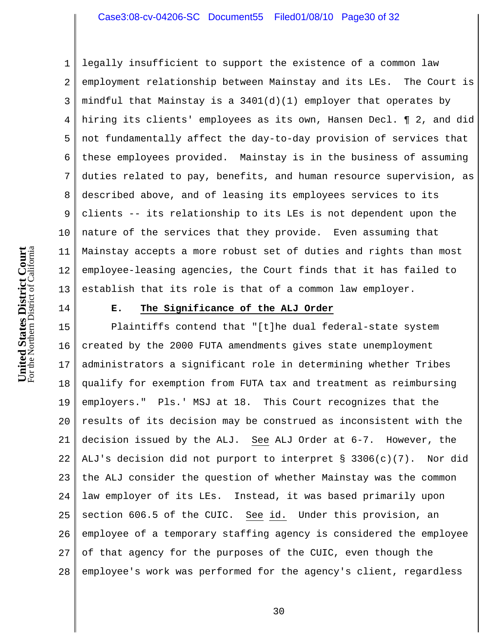## Case3:08-cv-04206-SC Document55 Filed01/08/10 Page30 of 32

1 2 3 4 5 6 7 8 9 10 11 12 13 legally insufficient to support the existence of a common law employment relationship between Mainstay and its LEs. The Court is mindful that Mainstay is a  $3401(d)(1)$  employer that operates by hiring its clients' employees as its own, Hansen Decl. ¶ 2, and did not fundamentally affect the day-to-day provision of services that these employees provided. Mainstay is in the business of assuming duties related to pay, benefits, and human resource supervision, as described above, and of leasing its employees services to its clients -- its relationship to its LEs is not dependent upon the nature of the services that they provide. Even assuming that Mainstay accepts a more robust set of duties and rights than most employee-leasing agencies, the Court finds that it has failed to establish that its role is that of a common law employer.

14

#### **E. The Significance of the ALJ Order**

15 16 17 18 19 20 21 22 23 24 25 26 27 28 Plaintiffs contend that "[t]he dual federal-state system created by the 2000 FUTA amendments gives state unemployment administrators a significant role in determining whether Tribes qualify for exemption from FUTA tax and treatment as reimbursing employers." Pls.' MSJ at 18. This Court recognizes that the results of its decision may be construed as inconsistent with the decision issued by the ALJ. See ALJ Order at 6-7. However, the ALJ's decision did not purport to interpret § 3306(c)(7). Nor did the ALJ consider the question of whether Mainstay was the common law employer of its LEs. Instead, it was based primarily upon section 606.5 of the CUIC. See id. Under this provision, an employee of a temporary staffing agency is considered the employee of that agency for the purposes of the CUIC, even though the employee's work was performed for the agency's client, regardless

For the Northern District of California **United States District Court**<br>For the Northern District of California **United States District Court**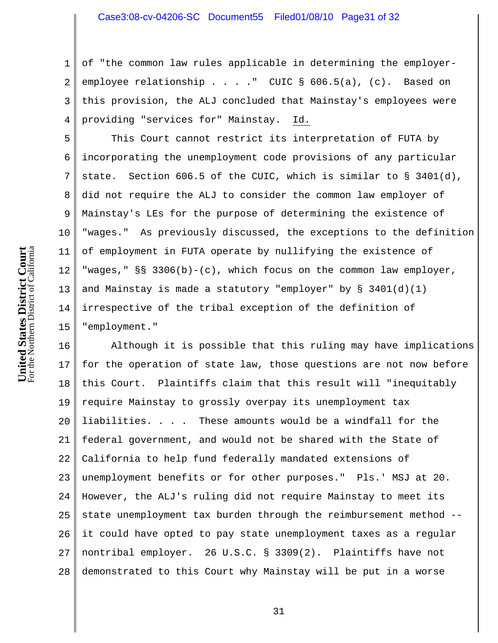1 2 3 4 of "the common law rules applicable in determining the employeremployee relationship . . . . " CUIC § 606.5(a), (c). Based on this provision, the ALJ concluded that Mainstay's employees were providing "services for" Mainstay. Id.

5 6 7 8 9 10 11 12 13 14 15 This Court cannot restrict its interpretation of FUTA by incorporating the unemployment code provisions of any particular state. Section 606.5 of the CUIC, which is similar to § 3401(d), did not require the ALJ to consider the common law employer of Mainstay's LEs for the purpose of determining the existence of "wages." As previously discussed, the exceptions to the definition of employment in FUTA operate by nullifying the existence of "wages," §§ 3306(b)-(c), which focus on the common law employer, and Mainstay is made a statutory "employer" by  $\S$  3401(d)(1) irrespective of the tribal exception of the definition of "employment."

16 17 18 19 20 21 22 23 24 25 26 27 28 Although it is possible that this ruling may have implications for the operation of state law, those questions are not now before this Court. Plaintiffs claim that this result will "inequitably require Mainstay to grossly overpay its unemployment tax liabilities. . . . These amounts would be a windfall for the federal government, and would not be shared with the State of California to help fund federally mandated extensions of unemployment benefits or for other purposes." Pls.' MSJ at 20. However, the ALJ's ruling did not require Mainstay to meet its state unemployment tax burden through the reimbursement method - it could have opted to pay state unemployment taxes as a regular nontribal employer. 26 U.S.C. § 3309(2). Plaintiffs have not demonstrated to this Court why Mainstay will be put in a worse